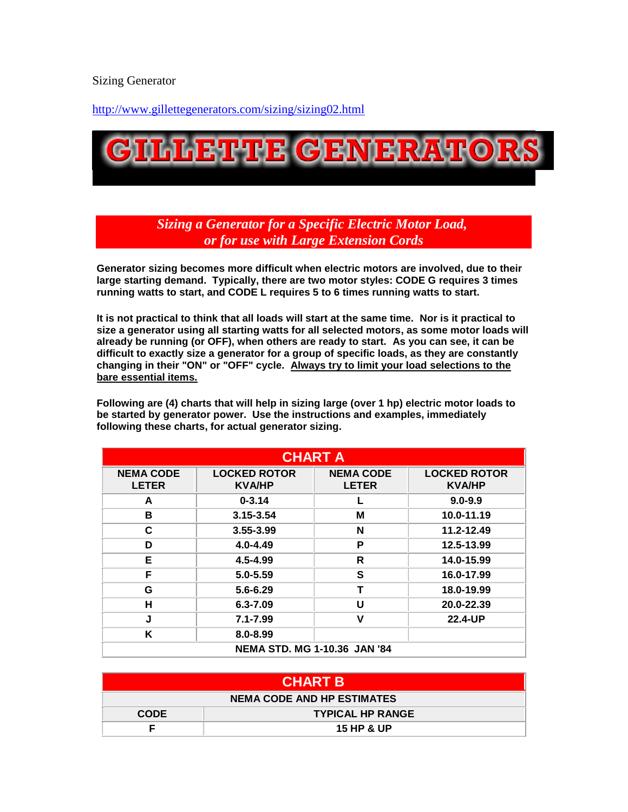Sizing Generator

<http://www.gillettegenerators.com/sizing/sizing02.html>



*Sizing a Generator for a Specific Electric Motor Load, or for use with Large Extension Cords*

**Generator sizing becomes more difficult when electric motors are involved, due to their large starting demand. Typically, there are two motor styles: CODE G requires 3 times running watts to start, and CODE L requires 5 to 6 times running watts to start.**

**It is not practical to think that all loads will start at the same time. Nor is it practical to size a generator using all starting watts for all selected motors, as some motor loads will already be running (or OFF), when others are ready to start. As you can see, it can be difficult to exactly size a generator for a group of specific loads, as they are constantly changing in their "ON" or "OFF" cycle. Always try to limit your load selections to the bare essential items.**

**Following are (4) charts that will help in sizing large (over 1 hp) electric motor loads to be started by generator power. Use the instructions and examples, immediately following these charts, for actual generator sizing.**

| <b>CHART A</b>                      |                                      |                                  |                                      |  |
|-------------------------------------|--------------------------------------|----------------------------------|--------------------------------------|--|
| <b>NEMA CODE</b><br><b>LETER</b>    | <b>LOCKED ROTOR</b><br><b>KVA/HP</b> | <b>NEMA CODE</b><br><b>LETER</b> | <b>LOCKED ROTOR</b><br><b>KVA/HP</b> |  |
| A                                   | $0 - 3.14$                           |                                  | $9.0 - 9.9$                          |  |
| В                                   | 3.15-3.54                            | М                                | 10.0-11.19                           |  |
| C                                   | 3.55-3.99                            | N                                | 11.2-12.49                           |  |
| D                                   | $4.0 - 4.49$                         | P                                | 12.5-13.99                           |  |
| Е                                   | 4.5-4.99                             | R                                | 14.0-15.99                           |  |
| F                                   | $5.0 - 5.59$                         | S                                | 16.0-17.99                           |  |
| G                                   | $5.6 - 6.29$                         | Т                                | 18.0-19.99                           |  |
| н                                   | $6.3 - 7.09$                         | U                                | 20.0-22.39                           |  |
| J                                   | $7.1 - 7.99$                         | ν                                | 22.4-UP                              |  |
| Κ                                   | $8.0 - 8.99$                         |                                  |                                      |  |
| <b>NEMA STD. MG 1-10.36 JAN '84</b> |                                      |                                  |                                      |  |

| <b>CHART B</b>             |                         |  |
|----------------------------|-------------------------|--|
| NEMA CODE AND HP ESTIMATES |                         |  |
| <b>CODE</b>                | <b>TYPICAL HP RANGE</b> |  |
|                            | <b>15 HP &amp; UP</b>   |  |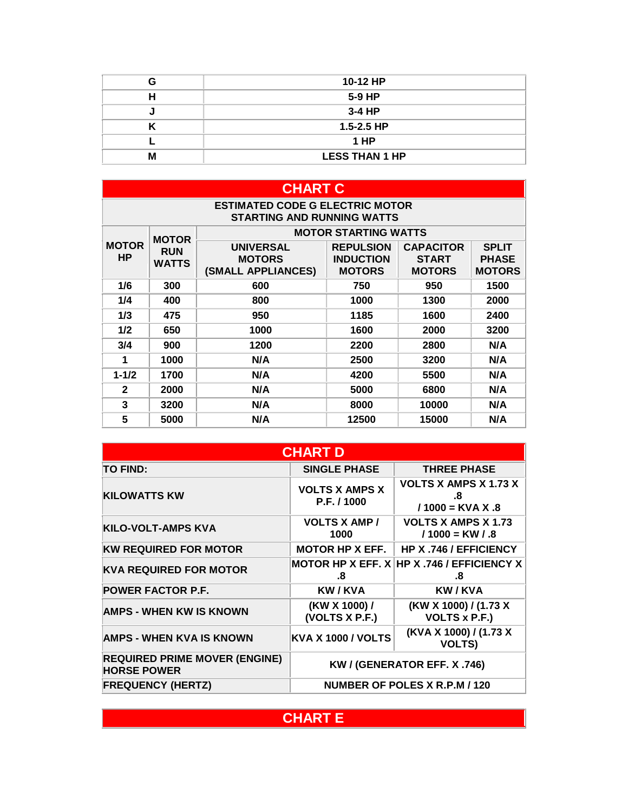| c | 10-12 HP              |
|---|-----------------------|
|   | $5-9$ HP              |
|   | 3-4 HP                |
|   | $1.5 - 2.5$ HP        |
|   | 1 HP                  |
|   | <b>LESS THAN 1 HP</b> |

| <b>CHART C</b>                                                              |                            |                                                         |                                                       |                                                   |                                               |
|-----------------------------------------------------------------------------|----------------------------|---------------------------------------------------------|-------------------------------------------------------|---------------------------------------------------|-----------------------------------------------|
| <b>ESTIMATED CODE G ELECTRIC MOTOR</b><br><b>STARTING AND RUNNING WATTS</b> |                            |                                                         |                                                       |                                                   |                                               |
|                                                                             | <b>MOTOR</b>               | <b>MOTOR STARTING WATTS</b>                             |                                                       |                                                   |                                               |
| <b>MOTOR</b><br>HP.                                                         | <b>RUN</b><br><b>WATTS</b> | <b>UNIVERSAL</b><br><b>MOTORS</b><br>(SMALL APPLIANCES) | <b>REPULSION</b><br><b>INDUCTION</b><br><b>MOTORS</b> | <b>CAPACITOR</b><br><b>START</b><br><b>MOTORS</b> | <b>SPLIT</b><br><b>PHASE</b><br><b>MOTORS</b> |
| 1/6                                                                         | 300                        | 600                                                     | 750                                                   | 950                                               | 1500                                          |
| 1/4                                                                         | 400                        | 800                                                     | 1000                                                  | 1300                                              | 2000                                          |
| 1/3                                                                         | 475                        | 950                                                     | 1185                                                  | 1600                                              | 2400                                          |
| 1/2                                                                         | 650                        | 1000                                                    | 1600                                                  | 2000                                              | 3200                                          |
| 3/4                                                                         | 900                        | 1200                                                    | 2200                                                  | 2800                                              | N/A                                           |
| 1                                                                           | 1000                       | N/A                                                     | 2500                                                  | 3200                                              | N/A                                           |
| $1 - 1/2$                                                                   | 1700                       | N/A                                                     | 4200                                                  | 5500                                              | N/A                                           |
| $\mathbf{2}$                                                                | 2000                       | N/A                                                     | 5000                                                  | 6800                                              | N/A                                           |
| 3                                                                           | 3200                       | N/A                                                     | 8000                                                  | 10000                                             | N/A                                           |
| 5                                                                           | 5000                       | N/A                                                     | 12500                                                 | 15000                                             | N/A                                           |

| <b>CHART D</b>                                             |                                      |                                                          |  |
|------------------------------------------------------------|--------------------------------------|----------------------------------------------------------|--|
| <b>TO FIND:</b>                                            | <b>SINGLE PHASE</b>                  | <b>THREE PHASE</b>                                       |  |
| <b>KILOWATTS KW</b>                                        | <b>VOLTS X AMPS X</b><br>P.F. / 1000 | <b>VOLTS X AMPS X 1.73 X</b><br>.8<br>$/1000 =$ KVA X .8 |  |
| <b>KILO-VOLT-AMPS KVA</b>                                  | <b>VOLTS X AMP/</b><br>1000          | <b>VOLTS X AMPS X 1.73</b><br>$/1000 = KW / .8$          |  |
| <b>KW REQUIRED FOR MOTOR</b>                               | <b>MOTOR HP X EFF.</b>               | HP X .746 / EFFICIENCY                                   |  |
| <b>KVA REQUIRED FOR MOTOR</b>                              | .8                                   | MOTOR HP X EFF. $X$ HP X .746 / EFFICIENCY X<br>.8       |  |
| <b>POWER FACTOR P.F.</b>                                   | <b>KW/KVA</b>                        | <b>KW/KVA</b>                                            |  |
| <b>AMPS - WHEN KW IS KNOWN</b>                             | (KW X 1000) /<br>(VOLTS X P.F.)      | (KW X 1000) / (1.73 X<br><b>VOLTS x P.F.)</b>            |  |
| <b>AMPS - WHEN KVA IS KNOWN</b>                            | <b>KVA X 1000 / VOLTS</b>            | (KVA X 1000) / (1.73 X<br><b>VOLTS)</b>                  |  |
| <b>REQUIRED PRIME MOVER (ENGINE)</b><br><b>HORSE POWER</b> | KW / (GENERATOR EFF. X .746)         |                                                          |  |
| <b>FREQUENCY (HERTZ)</b>                                   | NUMBER OF POLES X R.P.M / 120        |                                                          |  |

## **CHART E**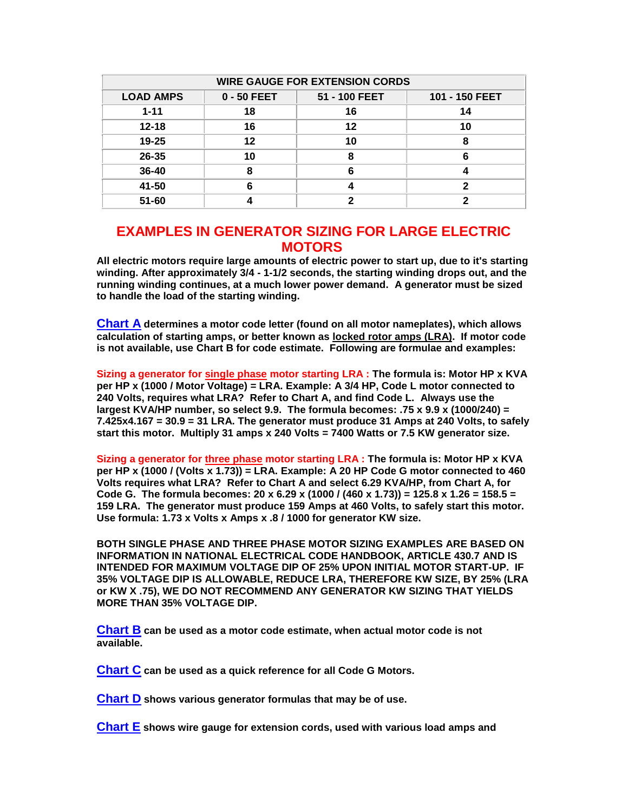| <b>WIRE GAUGE FOR EXTENSION CORDS</b> |             |               |                |  |
|---------------------------------------|-------------|---------------|----------------|--|
| <b>LOAD AMPS</b>                      | 0 - 50 FEET | 51 - 100 FEET | 101 - 150 FEET |  |
| $1 - 11$                              | 18          | 16            | 14             |  |
| $12 - 18$                             | 16          | 12            | 10             |  |
| $19 - 25$                             | 12          | 10            | 8              |  |
| $26 - 35$                             | 10          | ឧ             |                |  |
| $36 - 40$                             |             |               |                |  |
| 41-50                                 |             |               |                |  |
| $51 - 60$                             |             |               |                |  |

## **EXAMPLES IN GENERATOR SIZING FOR LARGE ELECTRIC MOTORS**

**All electric motors require large amounts of electric power to start up, due to it's starting winding. After approximately 3/4 - 1-1/2 seconds, the starting winding drops out, and the running winding continues, at a much lower power demand. A generator must be sized to handle the load of the starting winding.**

**[Chart A](http://www.gillettegenerators.com/sizing/sizing03.html#CHART A#CHART A) determines a motor code letter (found on all motor nameplates), which allows calculation of starting amps, or better known as locked rotor amps (LRA). If motor code is not available, use Chart B for code estimate. Following are formulae and examples:**

**Sizing a generator for single phase motor starting LRA : The formula is: Motor HP x KVA per HP x (1000 / Motor Voltage) = LRA. Example: A 3/4 HP, Code L motor connected to 240 Volts, requires what LRA? Refer to Chart A, and find Code L. Always use the largest KVA/HP number, so select 9.9. The formula becomes: .75 x 9.9 x (1000/240) = 7.425x4.167 = 30.9 = 31 LRA. The generator must produce 31 Amps at 240 Volts, to safely start this motor. Multiply 31 amps x 240 Volts = 7400 Watts or 7.5 KW generator size.**

**Sizing a generator for three phase motor starting LRA : The formula is: Motor HP x KVA per HP x (1000 / (Volts x 1.73)) = LRA. Example: A 20 HP Code G motor connected to 460 Volts requires what LRA? Refer to Chart A and select 6.29 KVA/HP, from Chart A, for Code G. The formula becomes: 20 x 6.29 x (1000 / (460 x 1.73)) = 125.8 x 1.26 = 158.5 = 159 LRA. The generator must produce 159 Amps at 460 Volts, to safely start this motor. Use formula: 1.73 x Volts x Amps x .8 / 1000 for generator KW size.**

**BOTH SINGLE PHASE AND THREE PHASE MOTOR SIZING EXAMPLES ARE BASED ON INFORMATION IN NATIONAL ELECTRICAL CODE HANDBOOK, ARTICLE 430.7 AND IS INTENDED FOR MAXIMUM VOLTAGE DIP OF 25% UPON INITIAL MOTOR START-UP. IF 35% VOLTAGE DIP IS ALLOWABLE, REDUCE LRA, THEREFORE KW SIZE, BY 25% (LRA or KW X .75), WE DO NOT RECOMMEND ANY GENERATOR KW SIZING THAT YIELDS MORE THAN 35% VOLTAGE DIP.**

**[Chart B](http://www.gillettegenerators.com/sizing/sizing03.html#CHART B#CHART B) can be used as a motor code estimate, when actual motor code is not available.**

**[Chart C](http://www.gillettegenerators.com/sizing/sizing03.html#CHART C#CHART C) can be used as a quick reference for all Code G Motors.**

**[Chart D](http://www.gillettegenerators.com/sizing/sizing03.html#CHART D#CHART D) shows various generator formulas that may be of use.**

**[Chart E](http://www.gillettegenerators.com/sizing/sizing03.html#CHART E#CHART E) shows wire gauge for extension cords, used with various load amps and**